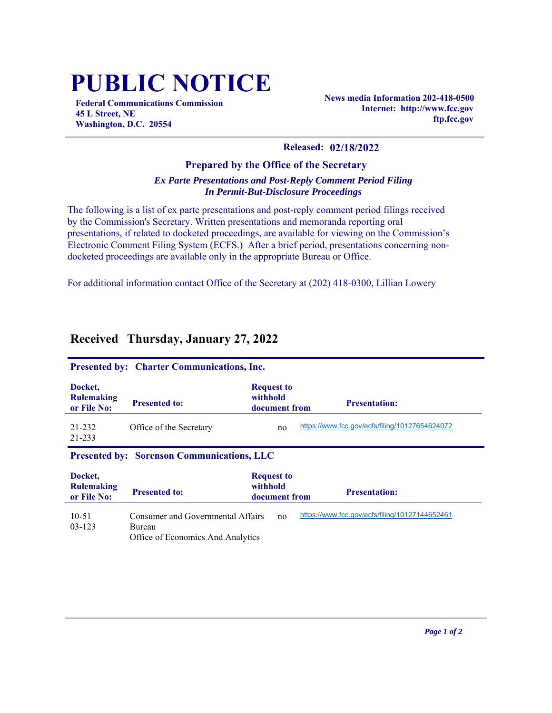## **PUBLIC NOTICE**

**Federal Communications Commission 45 L Street, NE Washington, D.C. 20554**

**News media Information 202-418-0500 Internet: http://www.fcc.gov ftp.fcc.gov**

## **Released: 02/18/2022**

## **Prepared by the Office of the Secretary** *Ex Parte Presentations and Post-Reply Comment Period Filing In Permit-But-Disclosure Proceedings*

The following is a list of ex parte presentations and post-reply comment period filings received by the Commission's Secretary. Written presentations and memoranda reporting oral presentations, if related to docketed proceedings, are available for viewing on the Commission's Electronic Comment Filing System (ECFS.) After a brief period, presentations concerning nondocketed proceedings are available only in the appropriate Bureau or Office.

For additional information contact Office of the Secretary at (202) 418-0300, Lillian Lowery

| <b>Presented by: Charter Communications, Inc.</b> |                                                                                  |                                                |                                                |  |  |  |
|---------------------------------------------------|----------------------------------------------------------------------------------|------------------------------------------------|------------------------------------------------|--|--|--|
| Docket.<br><b>Rulemaking</b><br>or File No:       | <b>Presented to:</b>                                                             | <b>Request to</b><br>withhold<br>document from | <b>Presentation:</b>                           |  |  |  |
| 21-232<br>21-233                                  | Office of the Secretary                                                          | no                                             | https://www.fcc.gov/ecfs/filing/10127654624072 |  |  |  |
| <b>Presented by: Sorenson Communications, LLC</b> |                                                                                  |                                                |                                                |  |  |  |
| Docket.<br><b>Rulemaking</b><br>or File No:       | <b>Presented to:</b>                                                             | <b>Request to</b><br>withhold<br>document from | <b>Presentation:</b>                           |  |  |  |
| $10 - 51$<br>$03 - 123$                           | Consumer and Governmental Affairs<br>Bureau<br>Office of Economics And Analytics | no                                             | https://www.fcc.gov/ecfs/filing/10127144652461 |  |  |  |

## **Received Thursday, January 27, 2022**